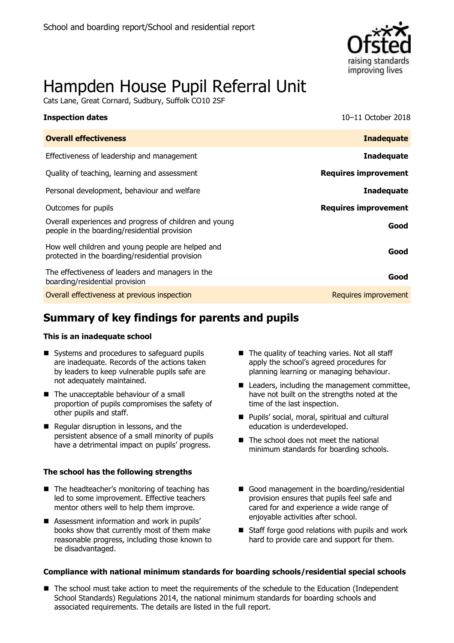

# Hampden House Pupil Referral Unit

Cats Lane, Great Cornard, Sudbury, Suffolk CO10 2SF

| <b>Inspection dates</b>                                                                                | 10-11 October 2018          |
|--------------------------------------------------------------------------------------------------------|-----------------------------|
| <b>Overall effectiveness</b>                                                                           | <b>Inadequate</b>           |
| Effectiveness of leadership and management                                                             | <b>Inadequate</b>           |
| Quality of teaching, learning and assessment                                                           | <b>Requires improvement</b> |
| Personal development, behaviour and welfare                                                            | <b>Inadequate</b>           |
| Outcomes for pupils                                                                                    | <b>Requires improvement</b> |
| Overall experiences and progress of children and young<br>people in the boarding/residential provision | Good                        |
| How well children and young people are helped and<br>protected in the boarding/residential provision   | Good                        |
| The effectiveness of leaders and managers in the<br>boarding/residential provision                     | Good                        |
| Overall effectiveness at previous inspection                                                           | Requires improvement        |

# **Summary of key findings for parents and pupils**

### **This is an inadequate school**

- Systems and procedures to safeguard pupils are inadequate. Records of the actions taken by leaders to keep vulnerable pupils safe are not adequately maintained.
- The unacceptable behaviour of a small proportion of pupils compromises the safety of other pupils and staff.
- Regular disruption in lessons, and the persistent absence of a small minority of pupils have a detrimental impact on pupils' progress.

### **The school has the following strengths**

- The headteacher's monitoring of teaching has led to some improvement. Effective teachers mentor others well to help them improve.
- Assessment information and work in pupils' books show that currently most of them make reasonable progress, including those known to be disadvantaged.
- $\blacksquare$  The quality of teaching varies. Not all staff apply the school's agreed procedures for planning learning or managing behaviour.
- Leaders, including the management committee, have not built on the strengths noted at the time of the last inspection.
- **Pupils' social, moral, spiritual and cultural** education is underdeveloped.
- The school does not meet the national minimum standards for boarding schools.
- Good management in the boarding/residential provision ensures that pupils feel safe and cared for and experience a wide range of enjoyable activities after school.
- $\blacksquare$  Staff forge good relations with pupils and work hard to provide care and support for them.

### **Compliance with national minimum standards for boarding schools/residential special schools**

■ The school must take action to meet the requirements of the schedule to the Education (Independent School Standards) Regulations 2014, the national minimum standards for boarding schools and associated requirements. The details are listed in the full report.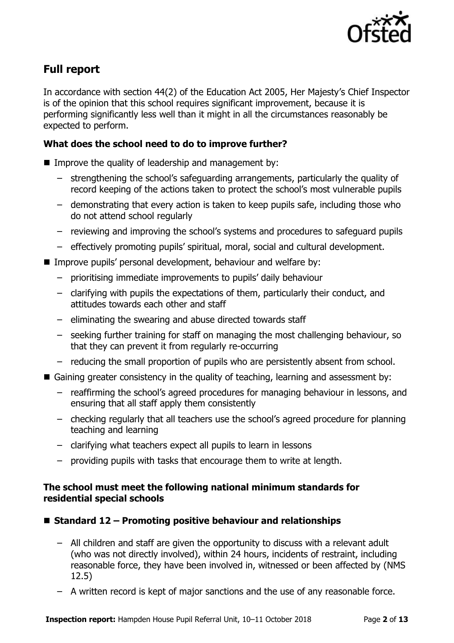

# **Full report**

In accordance with section 44(2) of the Education Act 2005, Her Majesty's Chief Inspector is of the opinion that this school requires significant improvement, because it is performing significantly less well than it might in all the circumstances reasonably be expected to perform.

### **What does the school need to do to improve further?**

- Improve the quality of leadership and management by:
	- strengthening the school's safeguarding arrangements, particularly the quality of record keeping of the actions taken to protect the school's most vulnerable pupils
	- demonstrating that every action is taken to keep pupils safe, including those who do not attend school regularly
	- reviewing and improving the school's systems and procedures to safeguard pupils
	- effectively promoting pupils' spiritual, moral, social and cultural development.
- Improve pupils' personal development, behaviour and welfare by:
	- prioritising immediate improvements to pupils' daily behaviour
	- clarifying with pupils the expectations of them, particularly their conduct, and attitudes towards each other and staff
	- eliminating the swearing and abuse directed towards staff
	- seeking further training for staff on managing the most challenging behaviour, so that they can prevent it from regularly re-occurring
	- reducing the small proportion of pupils who are persistently absent from school.
- Gaining greater consistency in the quality of teaching, learning and assessment by:
	- reaffirming the school's agreed procedures for managing behaviour in lessons, and ensuring that all staff apply them consistently
	- checking regularly that all teachers use the school's agreed procedure for planning teaching and learning
	- clarifying what teachers expect all pupils to learn in lessons
	- providing pupils with tasks that encourage them to write at length.

### **The school must meet the following national minimum standards for residential special schools**

- **Standard 12 – Promoting positive behaviour and relationships**
	- All children and staff are given the opportunity to discuss with a relevant adult (who was not directly involved), within 24 hours, incidents of restraint, including reasonable force, they have been involved in, witnessed or been affected by (NMS 12.5)
	- A written record is kept of major sanctions and the use of any reasonable force.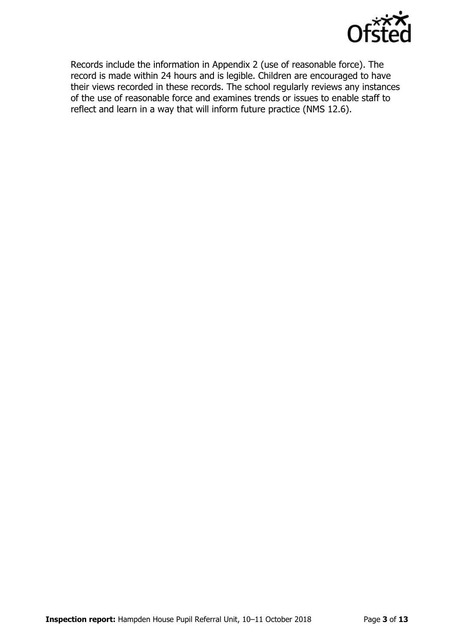

Records include the information in Appendix 2 (use of reasonable force). The record is made within 24 hours and is legible. Children are encouraged to have their views recorded in these records. The school regularly reviews any instances of the use of reasonable force and examines trends or issues to enable staff to reflect and learn in a way that will inform future practice (NMS 12.6).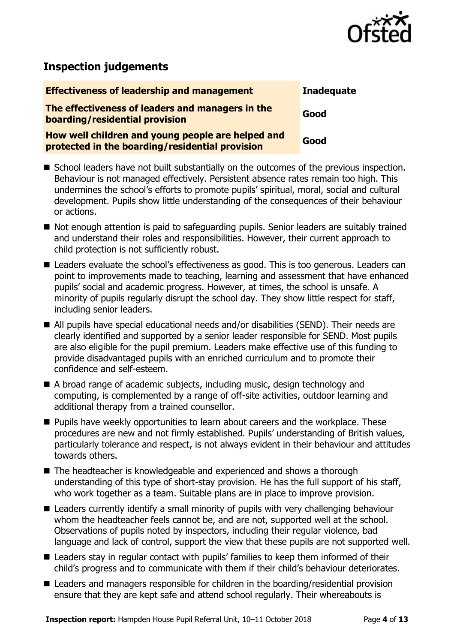

# **Inspection judgements**

| <b>Effectiveness of leadership and management</b>                                                    | <b>Inadequate</b> |
|------------------------------------------------------------------------------------------------------|-------------------|
| The effectiveness of leaders and managers in the<br>boarding/residential provision                   | Good              |
| How well children and young people are helped and<br>protected in the boarding/residential provision | Good              |

- School leaders have not built substantially on the outcomes of the previous inspection. Behaviour is not managed effectively. Persistent absence rates remain too high. This undermines the school's efforts to promote pupils' spiritual, moral, social and cultural development. Pupils show little understanding of the consequences of their behaviour or actions.
- Not enough attention is paid to safeguarding pupils. Senior leaders are suitably trained and understand their roles and responsibilities. However, their current approach to child protection is not sufficiently robust.
- Leaders evaluate the school's effectiveness as good. This is too generous. Leaders can point to improvements made to teaching, learning and assessment that have enhanced pupils' social and academic progress. However, at times, the school is unsafe. A minority of pupils regularly disrupt the school day. They show little respect for staff, including senior leaders.
- All pupils have special educational needs and/or disabilities (SEND). Their needs are clearly identified and supported by a senior leader responsible for SEND. Most pupils are also eligible for the pupil premium. Leaders make effective use of this funding to provide disadvantaged pupils with an enriched curriculum and to promote their confidence and self-esteem.
- A broad range of academic subjects, including music, design technology and computing, is complemented by a range of off-site activities, outdoor learning and additional therapy from a trained counsellor.
- **Pupils have weekly opportunities to learn about careers and the workplace. These** procedures are new and not firmly established. Pupils' understanding of British values, particularly tolerance and respect, is not always evident in their behaviour and attitudes towards others.
- The headteacher is knowledgeable and experienced and shows a thorough understanding of this type of short-stay provision. He has the full support of his staff, who work together as a team. Suitable plans are in place to improve provision.
- Leaders currently identify a small minority of pupils with very challenging behaviour whom the headteacher feels cannot be, and are not, supported well at the school. Observations of pupils noted by inspectors, including their regular violence, bad language and lack of control, support the view that these pupils are not supported well.
- Leaders stay in regular contact with pupils' families to keep them informed of their child's progress and to communicate with them if their child's behaviour deteriorates.
- Leaders and managers responsible for children in the boarding/residential provision ensure that they are kept safe and attend school regularly. Their whereabouts is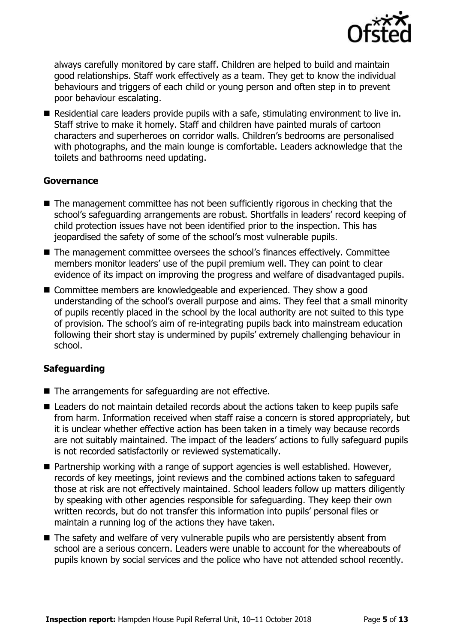

always carefully monitored by care staff. Children are helped to build and maintain good relationships. Staff work effectively as a team. They get to know the individual behaviours and triggers of each child or young person and often step in to prevent poor behaviour escalating.

 Residential care leaders provide pupils with a safe, stimulating environment to live in. Staff strive to make it homely. Staff and children have painted murals of cartoon characters and superheroes on corridor walls. Children's bedrooms are personalised with photographs, and the main lounge is comfortable. Leaders acknowledge that the toilets and bathrooms need updating.

### **Governance**

- The management committee has not been sufficiently rigorous in checking that the school's safeguarding arrangements are robust. Shortfalls in leaders' record keeping of child protection issues have not been identified prior to the inspection. This has jeopardised the safety of some of the school's most vulnerable pupils.
- The management committee oversees the school's finances effectively. Committee members monitor leaders' use of the pupil premium well. They can point to clear evidence of its impact on improving the progress and welfare of disadvantaged pupils.
- Committee members are knowledgeable and experienced. They show a good understanding of the school's overall purpose and aims. They feel that a small minority of pupils recently placed in the school by the local authority are not suited to this type of provision. The school's aim of re-integrating pupils back into mainstream education following their short stay is undermined by pupils' extremely challenging behaviour in school.

### **Safeguarding**

- The arrangements for safeguarding are not effective.
- Leaders do not maintain detailed records about the actions taken to keep pupils safe from harm. Information received when staff raise a concern is stored appropriately, but it is unclear whether effective action has been taken in a timely way because records are not suitably maintained. The impact of the leaders' actions to fully safeguard pupils is not recorded satisfactorily or reviewed systematically.
- Partnership working with a range of support agencies is well established. However, records of key meetings, joint reviews and the combined actions taken to safeguard those at risk are not effectively maintained. School leaders follow up matters diligently by speaking with other agencies responsible for safeguarding. They keep their own written records, but do not transfer this information into pupils' personal files or maintain a running log of the actions they have taken.
- The safety and welfare of very vulnerable pupils who are persistently absent from school are a serious concern. Leaders were unable to account for the whereabouts of pupils known by social services and the police who have not attended school recently.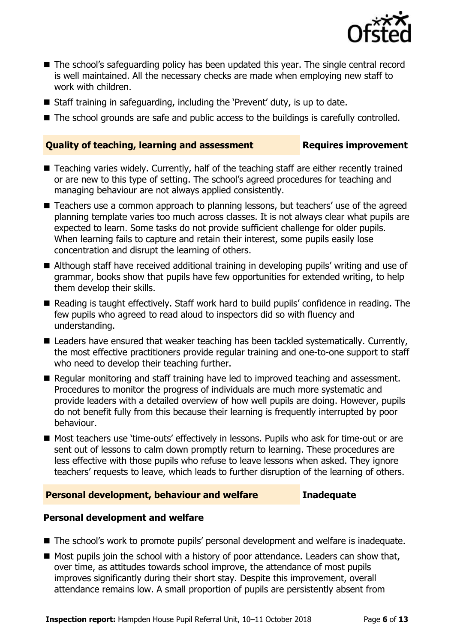

- The school's safeguarding policy has been updated this year. The single central record is well maintained. All the necessary checks are made when employing new staff to work with children.
- Staff training in safeguarding, including the 'Prevent' duty, is up to date.
- The school grounds are safe and public access to the buildings is carefully controlled.

### **Quality of teaching, learning and assessment Requires improvement**

- Teaching varies widely. Currently, half of the teaching staff are either recently trained or are new to this type of setting. The school's agreed procedures for teaching and managing behaviour are not always applied consistently.
- Teachers use a common approach to planning lessons, but teachers' use of the agreed planning template varies too much across classes. It is not always clear what pupils are expected to learn. Some tasks do not provide sufficient challenge for older pupils. When learning fails to capture and retain their interest, some pupils easily lose concentration and disrupt the learning of others.
- Although staff have received additional training in developing pupils' writing and use of grammar, books show that pupils have few opportunities for extended writing, to help them develop their skills.
- Reading is taught effectively. Staff work hard to build pupils' confidence in reading. The few pupils who agreed to read aloud to inspectors did so with fluency and understanding.
- Leaders have ensured that weaker teaching has been tackled systematically. Currently, the most effective practitioners provide regular training and one-to-one support to staff who need to develop their teaching further.
- Regular monitoring and staff training have led to improved teaching and assessment. Procedures to monitor the progress of individuals are much more systematic and provide leaders with a detailed overview of how well pupils are doing. However, pupils do not benefit fully from this because their learning is frequently interrupted by poor behaviour.
- Most teachers use 'time-outs' effectively in lessons. Pupils who ask for time-out or are sent out of lessons to calm down promptly return to learning. These procedures are less effective with those pupils who refuse to leave lessons when asked. They ignore teachers' requests to leave, which leads to further disruption of the learning of others.

### **Personal development, behaviour and welfare Inadequate**

### **Personal development and welfare**

- The school's work to promote pupils' personal development and welfare is inadequate.
- $\blacksquare$  Most pupils join the school with a history of poor attendance. Leaders can show that, over time, as attitudes towards school improve, the attendance of most pupils improves significantly during their short stay. Despite this improvement, overall attendance remains low. A small proportion of pupils are persistently absent from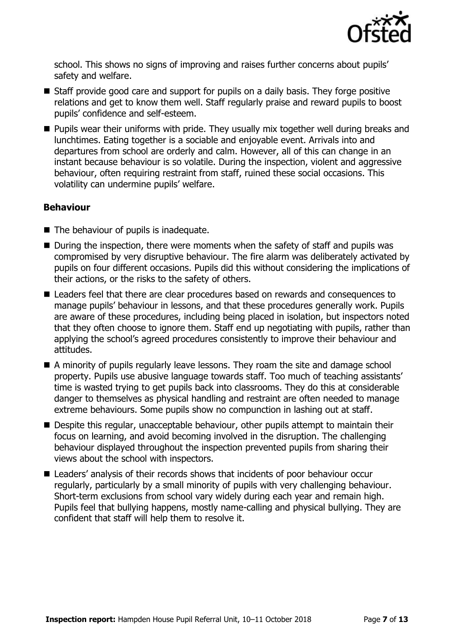

school. This shows no signs of improving and raises further concerns about pupils' safety and welfare.

- Staff provide good care and support for pupils on a daily basis. They forge positive relations and get to know them well. Staff regularly praise and reward pupils to boost pupils' confidence and self-esteem.
- **Pupils wear their uniforms with pride. They usually mix together well during breaks and** lunchtimes. Eating together is a sociable and enjoyable event. Arrivals into and departures from school are orderly and calm. However, all of this can change in an instant because behaviour is so volatile. During the inspection, violent and aggressive behaviour, often requiring restraint from staff, ruined these social occasions. This volatility can undermine pupils' welfare.

### **Behaviour**

- The behaviour of pupils is inadequate.
- $\blacksquare$  During the inspection, there were moments when the safety of staff and pupils was compromised by very disruptive behaviour. The fire alarm was deliberately activated by pupils on four different occasions. Pupils did this without considering the implications of their actions, or the risks to the safety of others.
- Leaders feel that there are clear procedures based on rewards and consequences to manage pupils' behaviour in lessons, and that these procedures generally work. Pupils are aware of these procedures, including being placed in isolation, but inspectors noted that they often choose to ignore them. Staff end up negotiating with pupils, rather than applying the school's agreed procedures consistently to improve their behaviour and attitudes.
- A minority of pupils regularly leave lessons. They roam the site and damage school property. Pupils use abusive language towards staff. Too much of teaching assistants' time is wasted trying to get pupils back into classrooms. They do this at considerable danger to themselves as physical handling and restraint are often needed to manage extreme behaviours. Some pupils show no compunction in lashing out at staff.
- **Despite this regular, unacceptable behaviour, other pupils attempt to maintain their** focus on learning, and avoid becoming involved in the disruption. The challenging behaviour displayed throughout the inspection prevented pupils from sharing their views about the school with inspectors.
- Leaders' analysis of their records shows that incidents of poor behaviour occur regularly, particularly by a small minority of pupils with very challenging behaviour. Short-term exclusions from school vary widely during each year and remain high. Pupils feel that bullying happens, mostly name-calling and physical bullying. They are confident that staff will help them to resolve it.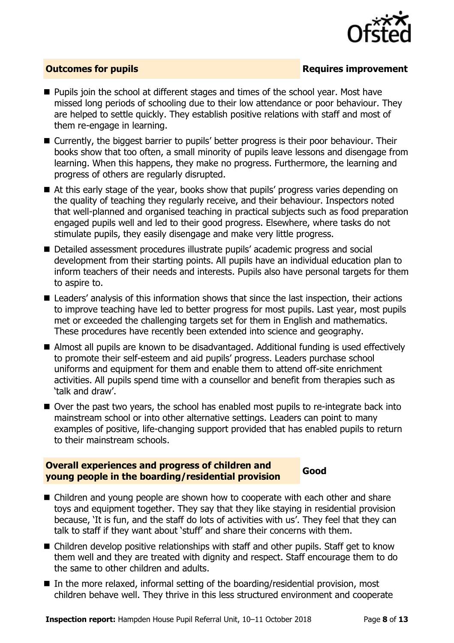

### **Outcomes for pupils Requires improvement**

- **Pupils join the school at different stages and times of the school year. Most have** missed long periods of schooling due to their low attendance or poor behaviour. They are helped to settle quickly. They establish positive relations with staff and most of them re-engage in learning.
- Currently, the biggest barrier to pupils' better progress is their poor behaviour. Their books show that too often, a small minority of pupils leave lessons and disengage from learning. When this happens, they make no progress. Furthermore, the learning and progress of others are regularly disrupted.
- At this early stage of the year, books show that pupils' progress varies depending on the quality of teaching they regularly receive, and their behaviour. Inspectors noted that well-planned and organised teaching in practical subjects such as food preparation engaged pupils well and led to their good progress. Elsewhere, where tasks do not stimulate pupils, they easily disengage and make very little progress.
- Detailed assessment procedures illustrate pupils' academic progress and social development from their starting points. All pupils have an individual education plan to inform teachers of their needs and interests. Pupils also have personal targets for them to aspire to.
- Leaders' analysis of this information shows that since the last inspection, their actions to improve teaching have led to better progress for most pupils. Last year, most pupils met or exceeded the challenging targets set for them in English and mathematics. These procedures have recently been extended into science and geography.
- Almost all pupils are known to be disadvantaged. Additional funding is used effectively to promote their self-esteem and aid pupils' progress. Leaders purchase school uniforms and equipment for them and enable them to attend off-site enrichment activities. All pupils spend time with a counsellor and benefit from therapies such as 'talk and draw'.
- Over the past two years, the school has enabled most pupils to re-integrate back into mainstream school or into other alternative settings. Leaders can point to many examples of positive, life-changing support provided that has enabled pupils to return to their mainstream schools.

### **Overall experiences and progress of children and young people in the boarding/residential provision Good**

- Children and young people are shown how to cooperate with each other and share toys and equipment together. They say that they like staying in residential provision because, 'It is fun, and the staff do lots of activities with us'. They feel that they can talk to staff if they want about 'stuff' and share their concerns with them.
- Children develop positive relationships with staff and other pupils. Staff get to know them well and they are treated with dignity and respect. Staff encourage them to do the same to other children and adults.
- In the more relaxed, informal setting of the boarding/residential provision, most children behave well. They thrive in this less structured environment and cooperate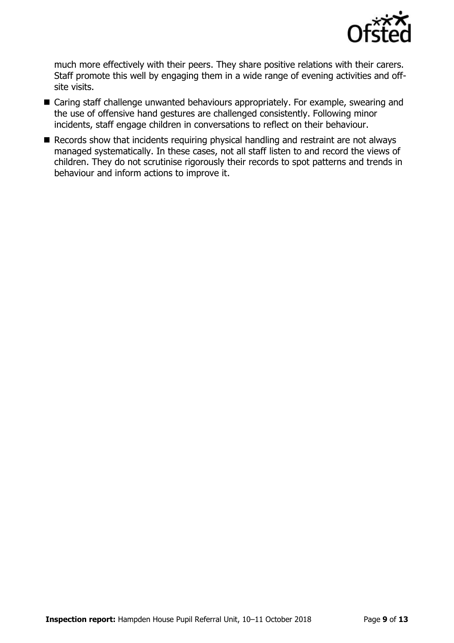

much more effectively with their peers. They share positive relations with their carers. Staff promote this well by engaging them in a wide range of evening activities and offsite visits.

- Caring staff challenge unwanted behaviours appropriately. For example, swearing and the use of offensive hand gestures are challenged consistently. Following minor incidents, staff engage children in conversations to reflect on their behaviour.
- Records show that incidents requiring physical handling and restraint are not always managed systematically. In these cases, not all staff listen to and record the views of children. They do not scrutinise rigorously their records to spot patterns and trends in behaviour and inform actions to improve it.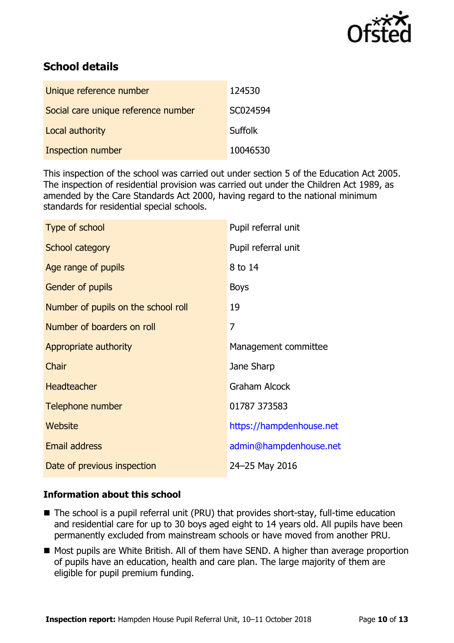

# **School details**

| Unique reference number             | 124530         |
|-------------------------------------|----------------|
| Social care unique reference number | SC024594       |
| Local authority                     | <b>Suffolk</b> |
| Inspection number                   | 10046530       |

This inspection of the school was carried out under section 5 of the Education Act 2005. The inspection of residential provision was carried out under the Children Act 1989, as amended by the Care Standards Act 2000, having regard to the national minimum standards for residential special schools.

| Pupil referral unit      |
|--------------------------|
| Pupil referral unit      |
| 8 to 14                  |
| <b>Boys</b>              |
| 19                       |
| 7                        |
| Management committee     |
| Jane Sharp               |
| <b>Graham Alcock</b>     |
| 01787 373583             |
| https://hampdenhouse.net |
| admin@hampdenhouse.net   |
| 24-25 May 2016           |
|                          |

### **Information about this school**

- The school is a pupil referral unit (PRU) that provides short-stay, full-time education and residential care for up to 30 boys aged eight to 14 years old. All pupils have been permanently excluded from mainstream schools or have moved from another PRU.
- Most pupils are White British. All of them have SEND. A higher than average proportion of pupils have an education, health and care plan. The large majority of them are eligible for pupil premium funding.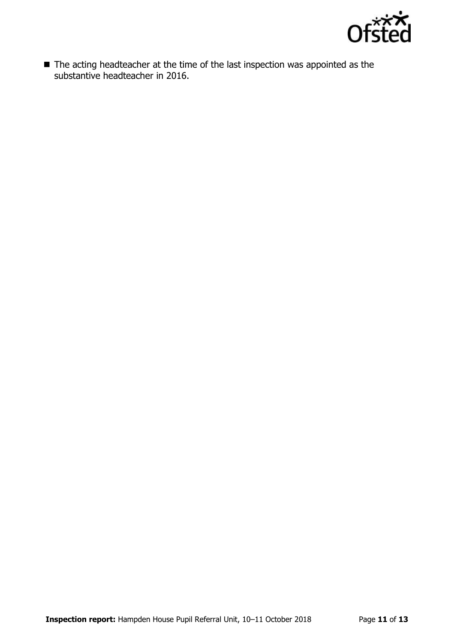

■ The acting headteacher at the time of the last inspection was appointed as the substantive headteacher in 2016.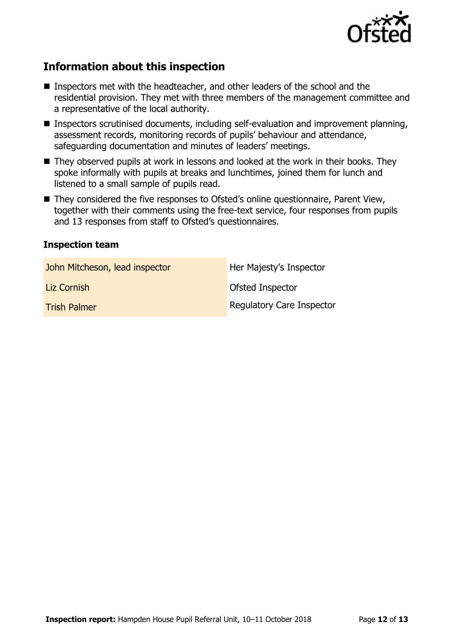

# **Information about this inspection**

- Inspectors met with the headteacher, and other leaders of the school and the residential provision. They met with three members of the management committee and a representative of the local authority.
- Inspectors scrutinised documents, including self-evaluation and improvement planning, assessment records, monitoring records of pupils' behaviour and attendance, safeguarding documentation and minutes of leaders' meetings.
- They observed pupils at work in lessons and looked at the work in their books. They spoke informally with pupils at breaks and lunchtimes, joined them for lunch and listened to a small sample of pupils read.
- They considered the five responses to Ofsted's online questionnaire, Parent View, together with their comments using the free-text service, four responses from pupils and 13 responses from staff to Ofsted's questionnaires.

### **Inspection team**

| John Mitcheson, lead inspector | Her Majesty's Inspector          |
|--------------------------------|----------------------------------|
| Liz Cornish                    | Ofsted Inspector                 |
| <b>Trish Palmer</b>            | <b>Regulatory Care Inspector</b> |